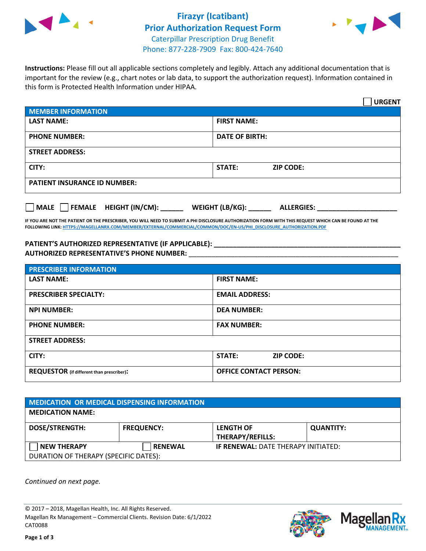

## **Firazyr (Icatibant) Prior Authorization Request Form** Caterpillar Prescription Drug Benefit Phone: 877-228-7909 Fax: 800-424-7640



**Instructions:** Please fill out all applicable sections completely and legibly. Attach any additional documentation that is important for the review (e.g., chart notes or lab data, to support the authorization request). Information contained in this form is Protected Health Information under HIPAA.

|                                                                                 | <b>URGENT</b>                          |  |  |
|---------------------------------------------------------------------------------|----------------------------------------|--|--|
| <b>MEMBER INFORMATION</b>                                                       |                                        |  |  |
| <b>LAST NAME:</b>                                                               | <b>FIRST NAME:</b>                     |  |  |
| <b>PHONE NUMBER:</b>                                                            | <b>DATE OF BIRTH:</b>                  |  |  |
| <b>STREET ADDRESS:</b>                                                          |                                        |  |  |
| CITY:                                                                           | <b>STATE:</b><br><b>ZIP CODE:</b>      |  |  |
| <b>PATIENT INSURANCE ID NUMBER:</b>                                             |                                        |  |  |
| $\overline{\phantom{a}}$ MALE $\overline{\phantom{a}}$ FEMALE HEIGHT (IN/CM): _ | WEIGHT (LB/KG): _<br><b>ALLERGIES:</b> |  |  |

**IF YOU ARE NOT THE PATIENT OR THE PRESCRIBER, YOU WILL NEED TO SUBMIT A PHI DISCLOSURE AUTHORIZATION FORM WITH THIS REQUEST WHICH CAN BE FOUND AT THE FOLLOWING LINK[: HTTPS://MAGELLANRX.COM/MEMBER/EXTERNAL/COMMERCIAL/COMMON/DOC/EN-US/PHI\\_DISCLOSURE\\_AUTHORIZATION.PDF](https://magellanrx.com/member/external/commercial/common/doc/en-us/PHI_Disclosure_Authorization.pdf)**

## **PATIENT'S AUTHORIZED REPRESENTATIVE (IF APPLICABLE): \_\_\_\_\_\_\_\_\_\_\_\_\_\_\_\_\_\_\_\_\_\_\_\_\_\_\_\_\_\_\_\_\_\_\_\_\_\_\_\_\_\_\_\_\_\_\_\_\_ AUTHORIZED REPRESENTATIVE'S PHONE NUMBER:** \_\_\_\_\_\_\_\_\_\_\_\_\_\_\_\_\_\_\_\_\_\_\_\_\_\_\_\_\_\_\_\_\_\_\_\_\_\_\_\_\_\_\_\_\_\_\_\_\_\_\_\_\_\_\_

| <b>PRESCRIBER INFORMATION</b>             |                               |  |  |
|-------------------------------------------|-------------------------------|--|--|
| <b>LAST NAME:</b>                         | <b>FIRST NAME:</b>            |  |  |
| <b>PRESCRIBER SPECIALTY:</b>              | <b>EMAIL ADDRESS:</b>         |  |  |
| <b>NPI NUMBER:</b>                        | <b>DEA NUMBER:</b>            |  |  |
| <b>PHONE NUMBER:</b>                      | <b>FAX NUMBER:</b>            |  |  |
| <b>STREET ADDRESS:</b>                    |                               |  |  |
| CITY:                                     | STATE:<br><b>ZIP CODE:</b>    |  |  |
| REQUESTOR (if different than prescriber): | <b>OFFICE CONTACT PERSON:</b> |  |  |

| <b>MEDICATION OR MEDICAL DISPENSING INFORMATION</b> |                   |                                            |                  |  |
|-----------------------------------------------------|-------------------|--------------------------------------------|------------------|--|
| <b>MEDICATION NAME:</b>                             |                   |                                            |                  |  |
| DOSE/STRENGTH:                                      | <b>FREQUENCY:</b> | <b>LENGTH OF</b><br>THERAPY/REFILLS:       | <b>QUANTITY:</b> |  |
| <b>NEW THERAPY</b>                                  | <b>RENEWAL</b>    | <b>IF RENEWAL: DATE THERAPY INITIATED:</b> |                  |  |
| DURATION OF THERAPY (SPECIFIC DATES):               |                   |                                            |                  |  |

*Continued on next page.*

© 2017 – 2018, Magellan Health, Inc. All Rights Reserved. Magellan Rx Management – Commercial Clients. Revision Date: 6/1/2022 CAT0088



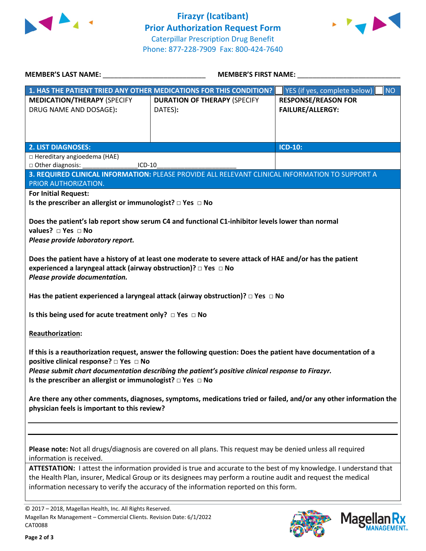



| MEMBER'S LAST NAME: NAME:                                                                                                                                                                                                                                                                                                    | <b>MEMBER'S FIRST NAME:</b>                                                                                   |                                           |  |  |
|------------------------------------------------------------------------------------------------------------------------------------------------------------------------------------------------------------------------------------------------------------------------------------------------------------------------------|---------------------------------------------------------------------------------------------------------------|-------------------------------------------|--|--|
|                                                                                                                                                                                                                                                                                                                              | 1. HAS THE PATIENT TRIED ANY OTHER MEDICATIONS FOR THIS CONDITION?                                            | YES (if yes, complete below)<br><b>NO</b> |  |  |
| <b>MEDICATION/THERAPY (SPECIFY</b>                                                                                                                                                                                                                                                                                           | <b>DURATION OF THERAPY (SPECIFY</b>                                                                           | <b>RESPONSE/REASON FOR</b>                |  |  |
| DRUG NAME AND DOSAGE):                                                                                                                                                                                                                                                                                                       | DATES):                                                                                                       | <b>FAILURE/ALLERGY:</b>                   |  |  |
|                                                                                                                                                                                                                                                                                                                              |                                                                                                               |                                           |  |  |
|                                                                                                                                                                                                                                                                                                                              |                                                                                                               |                                           |  |  |
| <b>2. LIST DIAGNOSES:</b>                                                                                                                                                                                                                                                                                                    |                                                                                                               | <b>ICD-10:</b>                            |  |  |
| □ Hereditary angioedema (HAE)<br>□ Other diagnosis:<br>$ICD-10$                                                                                                                                                                                                                                                              |                                                                                                               |                                           |  |  |
|                                                                                                                                                                                                                                                                                                                              | 3. REQUIRED CLINICAL INFORMATION: PLEASE PROVIDE ALL RELEVANT CLINICAL INFORMATION TO SUPPORT A               |                                           |  |  |
| PRIOR AUTHORIZATION.                                                                                                                                                                                                                                                                                                         |                                                                                                               |                                           |  |  |
| <b>For Initial Request:</b><br>Is the prescriber an allergist or immunologist? $\Box$ Yes $\Box$ No                                                                                                                                                                                                                          |                                                                                                               |                                           |  |  |
|                                                                                                                                                                                                                                                                                                                              |                                                                                                               |                                           |  |  |
|                                                                                                                                                                                                                                                                                                                              | Does the patient's lab report show serum C4 and functional C1-inhibitor levels lower than normal              |                                           |  |  |
| values? $\Box$ Yes $\Box$ No                                                                                                                                                                                                                                                                                                 |                                                                                                               |                                           |  |  |
| Please provide laboratory report.                                                                                                                                                                                                                                                                                            |                                                                                                               |                                           |  |  |
|                                                                                                                                                                                                                                                                                                                              | Does the patient have a history of at least one moderate to severe attack of HAE and/or has the patient       |                                           |  |  |
| experienced a laryngeal attack (airway obstruction)? □ Yes □ No                                                                                                                                                                                                                                                              |                                                                                                               |                                           |  |  |
| Please provide documentation.                                                                                                                                                                                                                                                                                                |                                                                                                               |                                           |  |  |
|                                                                                                                                                                                                                                                                                                                              | Has the patient experienced a laryngeal attack (airway obstruction)? $\Box$ Yes $\Box$ No                     |                                           |  |  |
| Is this being used for acute treatment only? $\Box$ Yes $\Box$ No                                                                                                                                                                                                                                                            |                                                                                                               |                                           |  |  |
| Reauthorization:                                                                                                                                                                                                                                                                                                             |                                                                                                               |                                           |  |  |
| If this is a reauthorization request, answer the following question: Does the patient have documentation of a                                                                                                                                                                                                                |                                                                                                               |                                           |  |  |
| positive clinical response? □ Yes □ No                                                                                                                                                                                                                                                                                       |                                                                                                               |                                           |  |  |
| Please submit chart documentation describing the patient's positive clinical response to Firazyr.                                                                                                                                                                                                                            |                                                                                                               |                                           |  |  |
| Is the prescriber an allergist or immunologist? $\Box$ Yes $\Box$ No                                                                                                                                                                                                                                                         |                                                                                                               |                                           |  |  |
| Are there any other comments, diagnoses, symptoms, medications tried or failed, and/or any other information the<br>physician feels is important to this review?                                                                                                                                                             |                                                                                                               |                                           |  |  |
|                                                                                                                                                                                                                                                                                                                              |                                                                                                               |                                           |  |  |
|                                                                                                                                                                                                                                                                                                                              | Please note: Not all drugs/diagnosis are covered on all plans. This request may be denied unless all required |                                           |  |  |
| information is received.                                                                                                                                                                                                                                                                                                     |                                                                                                               |                                           |  |  |
| ATTESTATION: I attest the information provided is true and accurate to the best of my knowledge. I understand that<br>the Health Plan, insurer, Medical Group or its designees may perform a routine audit and request the medical<br>information necessary to verify the accuracy of the information reported on this form. |                                                                                                               |                                           |  |  |
|                                                                                                                                                                                                                                                                                                                              |                                                                                                               |                                           |  |  |

© 2017 – 2018, Magellan Health, Inc. All Rights Reserved. Magellan Rx Management – Commercial Clients. Revision Date: 6/1/2022 CAT0088